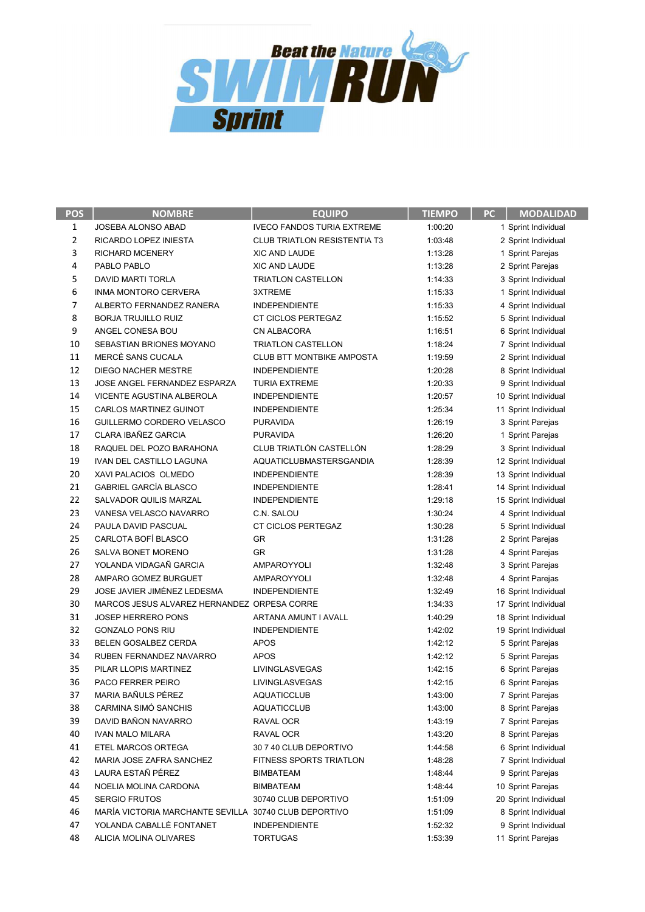

| $\mathbf{1}$<br>JOSEBA ALONSO ABAD<br><b>IVECO FANDOS TURIA EXTREME</b><br>1:00:20<br>1 Sprint Individual<br>$\overline{2}$<br><b>CLUB TRIATLON RESISTENTIA T3</b><br>1:03:48<br>RICARDO LOPEZ INIESTA<br>2 Sprint Individual<br>3<br><b>RICHARD MCENERY</b><br>XIC AND LAUDE<br>1:13:28<br>1 Sprint Parejas<br>4<br>PABLO PABLO<br><b>XIC AND LAUDE</b><br>1:13:28<br>2 Sprint Parejas<br>5<br><b>DAVID MARTI TORLA</b><br>3 Sprint Individual<br>TRIATLON CASTELLON<br>1:14:33<br>6<br>INMA MONTORO CERVERA<br>3XTREME<br>1:15:33<br>1 Sprint Individual<br>7<br>ALBERTO FERNANDEZ RANERA<br><b>INDEPENDIENTE</b><br>1:15:33<br>4 Sprint Individual<br>8<br><b>BORJA TRUJILLO RUIZ</b><br>CT CICLOS PERTEGAZ<br>1:15:52<br>5 Sprint Individual<br>9<br>ANGEL CONESA BOU<br>CN ALBACORA<br>1:16:51<br>6 Sprint Individual<br>10<br>SEBASTIAN BRIONES MOYANO<br><b>TRIATLON CASTELLON</b><br>1:18:24<br>7 Sprint Individual<br>11<br>MERCÈ SANS CUCALA<br><b>CLUB BTT MONTBIKE AMPOSTA</b><br>1:19:59<br>2 Sprint Individual<br>12<br>DIEGO NACHER MESTRE<br><b>INDEPENDIENTE</b><br>1:20:28<br>8 Sprint Individual<br>13<br>JOSE ANGEL FERNANDEZ ESPARZA<br><b>TURIA EXTREME</b><br>1:20:33<br>9 Sprint Individual<br>14<br>VICENTE AGUSTINA ALBEROLA<br>1:20:57<br><b>INDEPENDIENTE</b><br>10 Sprint Individual<br>15<br>CARLOS MARTINEZ GUINOT<br>1:25:34<br><b>INDEPENDIENTE</b><br>11 Sprint Individual<br>16<br>GUILLERMO CORDERO VELASCO<br>1:26:19<br><b>PURAVIDA</b><br>3 Sprint Parejas<br>17<br><b>CLARA IBAÑEZ GARCIA</b><br><b>PURAVIDA</b><br>1:26:20<br>1 Sprint Parejas<br>CLUB TRIATLÓN CASTELLÓN<br>18<br>RAQUEL DEL POZO BARAHONA<br>1:28:29<br>3 Sprint Individual<br>19<br>IVAN DEL CASTILLO LAGUNA<br>AQUATICLUBMASTERSGANDIA<br>1:28:39<br>12 Sprint Individual<br>20<br>XAVI PALACIOS OLMEDO<br>1:28:39<br><b>INDEPENDIENTE</b><br>13 Sprint Individual<br>21<br><b>GABRIEL GARCÍA BLASCO</b><br><b>INDEPENDIENTE</b><br>1:28:41<br>14 Sprint Individual<br>22<br>SALVADOR QUILIS MARZAL<br><b>INDEPENDIENTE</b><br>1:29:18<br>15 Sprint Individual<br>23<br>VANESA VELASCO NAVARRO<br>C.N. SALOU<br>1:30:24<br>4 Sprint Individual<br>24<br>PAULA DAVID PASCUAL<br>CT CICLOS PERTEGAZ<br>1:30:28<br>5 Sprint Individual<br>25<br>CARLOTA BOFÍ BLASCO<br>1:31:28<br>GR<br>2 Sprint Parejas<br>26<br>SALVA BONET MORENO<br><b>GR</b><br>1:31:28<br>4 Sprint Parejas<br>27<br>YOLANDA VIDAGAÑ GARCIA<br>AMPAROYYOLI<br>1:32:48<br>3 Sprint Parejas<br>28<br>AMPARO GOMEZ BURGUET<br>AMPAROYYOLI<br>1:32:48<br>4 Sprint Parejas<br>29<br>JOSE JAVIER JIMÉNEZ LEDESMA<br><b>INDEPENDIENTE</b><br>1:32:49<br>16 Sprint Individual<br>30<br>MARCOS JESUS ALVAREZ HERNANDEZ ORPESA CORRE<br>1:34:33<br>17 Sprint Individual<br>31<br><b>JOSEP HERRERO PONS</b><br>1:40:29<br>ARTANA AMUNT I AVALL<br>18 Sprint Individual<br>32<br><b>GONZALO PONS RIU</b><br>1:42:02<br><b>INDEPENDIENTE</b><br>19 Sprint Individual<br>33<br>1:42:12<br>BELEN GOSALBEZ CERDA<br><b>APOS</b><br>5 Sprint Parejas<br>34<br><b>APOS</b><br>RUBEN FERNANDEZ NAVARRO<br>1:42:12<br>5 Sprint Parejas<br>35<br>6 Sprint Parejas<br>PILAR LLOPIS MARTINEZ<br>LIVINGLASVEGAS<br>1:42:15<br>36<br>6 Sprint Parejas<br>PACO FERRER PEIRO<br>LIVINGLASVEGAS<br>1:42:15<br>37<br>MARIA BAÑULS PÉREZ<br><b>AQUATICCLUB</b><br>1:43:00<br>7 Sprint Parejas<br>38<br>CARMINA SIMÓ SANCHIS<br><b>AQUATICCLUB</b><br>1:43:00<br>8 Sprint Parejas<br>39<br>DAVID BAÑON NAVARRO<br>RAVAL OCR<br>1:43:19<br>7 Sprint Parejas<br>40<br><b>IVAN MALO MILARA</b><br>RAVAL OCR<br>1:43:20<br>8 Sprint Parejas<br>41<br>ETEL MARCOS ORTEGA<br>30 7 40 CLUB DEPORTIVO<br>1:44:58<br>6 Sprint Individual<br>42<br>FITNESS SPORTS TRIATLON<br>MARIA JOSE ZAFRA SANCHEZ<br>1:48:28<br>7 Sprint Individual<br>43<br>LAURA ESTAÑ PÉREZ<br>BIMBATEAM<br>1:48:44<br>9 Sprint Parejas<br>44<br>NOELIA MOLINA CARDONA<br>BIMBATEAM<br>1:48:44<br>10 Sprint Parejas<br>45<br><b>SERGIO FRUTOS</b><br>30740 CLUB DEPORTIVO<br>1:51:09<br>20 Sprint Individual<br>46<br>MARÍA VICTORIA MARCHANTE SEVILLA<br>30740 CLUB DEPORTIVO<br>1:51:09<br>8 Sprint Individual<br>47<br>YOLANDA CABALLÉ FONTANET<br><b>INDEPENDIENTE</b><br>1:52:32<br>9 Sprint Individual | <b>POS</b> | <b>NOMBRE</b>          | <b>EQUIPO</b>   | <b>TIEMPO</b> | PC | <b>MODALIDAD</b> |
|----------------------------------------------------------------------------------------------------------------------------------------------------------------------------------------------------------------------------------------------------------------------------------------------------------------------------------------------------------------------------------------------------------------------------------------------------------------------------------------------------------------------------------------------------------------------------------------------------------------------------------------------------------------------------------------------------------------------------------------------------------------------------------------------------------------------------------------------------------------------------------------------------------------------------------------------------------------------------------------------------------------------------------------------------------------------------------------------------------------------------------------------------------------------------------------------------------------------------------------------------------------------------------------------------------------------------------------------------------------------------------------------------------------------------------------------------------------------------------------------------------------------------------------------------------------------------------------------------------------------------------------------------------------------------------------------------------------------------------------------------------------------------------------------------------------------------------------------------------------------------------------------------------------------------------------------------------------------------------------------------------------------------------------------------------------------------------------------------------------------------------------------------------------------------------------------------------------------------------------------------------------------------------------------------------------------------------------------------------------------------------------------------------------------------------------------------------------------------------------------------------------------------------------------------------------------------------------------------------------------------------------------------------------------------------------------------------------------------------------------------------------------------------------------------------------------------------------------------------------------------------------------------------------------------------------------------------------------------------------------------------------------------------------------------------------------------------------------------------------------------------------------------------------------------------------------------------------------------------------------------------------------------------------------------------------------------------------------------------------------------------------------------------------------------------------------------------------------------------------------------------------------------------------------------------------------------------------------------------------------------------------------------------------------------------------------------------------------------------------------------------------------------------------------------------------------------------------------------------------------------------------------------------------------------------------------------------------------------------------------------------------------------------------------------------------------------------------------------------------------------------------------------------------------------------------------------------------------------|------------|------------------------|-----------------|---------------|----|------------------|
|                                                                                                                                                                                                                                                                                                                                                                                                                                                                                                                                                                                                                                                                                                                                                                                                                                                                                                                                                                                                                                                                                                                                                                                                                                                                                                                                                                                                                                                                                                                                                                                                                                                                                                                                                                                                                                                                                                                                                                                                                                                                                                                                                                                                                                                                                                                                                                                                                                                                                                                                                                                                                                                                                                                                                                                                                                                                                                                                                                                                                                                                                                                                                                                                                                                                                                                                                                                                                                                                                                                                                                                                                                                                                                                                                                                                                                                                                                                                                                                                                                                                                                                                                                                                                            |            |                        |                 |               |    |                  |
|                                                                                                                                                                                                                                                                                                                                                                                                                                                                                                                                                                                                                                                                                                                                                                                                                                                                                                                                                                                                                                                                                                                                                                                                                                                                                                                                                                                                                                                                                                                                                                                                                                                                                                                                                                                                                                                                                                                                                                                                                                                                                                                                                                                                                                                                                                                                                                                                                                                                                                                                                                                                                                                                                                                                                                                                                                                                                                                                                                                                                                                                                                                                                                                                                                                                                                                                                                                                                                                                                                                                                                                                                                                                                                                                                                                                                                                                                                                                                                                                                                                                                                                                                                                                                            |            |                        |                 |               |    |                  |
|                                                                                                                                                                                                                                                                                                                                                                                                                                                                                                                                                                                                                                                                                                                                                                                                                                                                                                                                                                                                                                                                                                                                                                                                                                                                                                                                                                                                                                                                                                                                                                                                                                                                                                                                                                                                                                                                                                                                                                                                                                                                                                                                                                                                                                                                                                                                                                                                                                                                                                                                                                                                                                                                                                                                                                                                                                                                                                                                                                                                                                                                                                                                                                                                                                                                                                                                                                                                                                                                                                                                                                                                                                                                                                                                                                                                                                                                                                                                                                                                                                                                                                                                                                                                                            |            |                        |                 |               |    |                  |
|                                                                                                                                                                                                                                                                                                                                                                                                                                                                                                                                                                                                                                                                                                                                                                                                                                                                                                                                                                                                                                                                                                                                                                                                                                                                                                                                                                                                                                                                                                                                                                                                                                                                                                                                                                                                                                                                                                                                                                                                                                                                                                                                                                                                                                                                                                                                                                                                                                                                                                                                                                                                                                                                                                                                                                                                                                                                                                                                                                                                                                                                                                                                                                                                                                                                                                                                                                                                                                                                                                                                                                                                                                                                                                                                                                                                                                                                                                                                                                                                                                                                                                                                                                                                                            |            |                        |                 |               |    |                  |
|                                                                                                                                                                                                                                                                                                                                                                                                                                                                                                                                                                                                                                                                                                                                                                                                                                                                                                                                                                                                                                                                                                                                                                                                                                                                                                                                                                                                                                                                                                                                                                                                                                                                                                                                                                                                                                                                                                                                                                                                                                                                                                                                                                                                                                                                                                                                                                                                                                                                                                                                                                                                                                                                                                                                                                                                                                                                                                                                                                                                                                                                                                                                                                                                                                                                                                                                                                                                                                                                                                                                                                                                                                                                                                                                                                                                                                                                                                                                                                                                                                                                                                                                                                                                                            |            |                        |                 |               |    |                  |
|                                                                                                                                                                                                                                                                                                                                                                                                                                                                                                                                                                                                                                                                                                                                                                                                                                                                                                                                                                                                                                                                                                                                                                                                                                                                                                                                                                                                                                                                                                                                                                                                                                                                                                                                                                                                                                                                                                                                                                                                                                                                                                                                                                                                                                                                                                                                                                                                                                                                                                                                                                                                                                                                                                                                                                                                                                                                                                                                                                                                                                                                                                                                                                                                                                                                                                                                                                                                                                                                                                                                                                                                                                                                                                                                                                                                                                                                                                                                                                                                                                                                                                                                                                                                                            |            |                        |                 |               |    |                  |
|                                                                                                                                                                                                                                                                                                                                                                                                                                                                                                                                                                                                                                                                                                                                                                                                                                                                                                                                                                                                                                                                                                                                                                                                                                                                                                                                                                                                                                                                                                                                                                                                                                                                                                                                                                                                                                                                                                                                                                                                                                                                                                                                                                                                                                                                                                                                                                                                                                                                                                                                                                                                                                                                                                                                                                                                                                                                                                                                                                                                                                                                                                                                                                                                                                                                                                                                                                                                                                                                                                                                                                                                                                                                                                                                                                                                                                                                                                                                                                                                                                                                                                                                                                                                                            |            |                        |                 |               |    |                  |
|                                                                                                                                                                                                                                                                                                                                                                                                                                                                                                                                                                                                                                                                                                                                                                                                                                                                                                                                                                                                                                                                                                                                                                                                                                                                                                                                                                                                                                                                                                                                                                                                                                                                                                                                                                                                                                                                                                                                                                                                                                                                                                                                                                                                                                                                                                                                                                                                                                                                                                                                                                                                                                                                                                                                                                                                                                                                                                                                                                                                                                                                                                                                                                                                                                                                                                                                                                                                                                                                                                                                                                                                                                                                                                                                                                                                                                                                                                                                                                                                                                                                                                                                                                                                                            |            |                        |                 |               |    |                  |
|                                                                                                                                                                                                                                                                                                                                                                                                                                                                                                                                                                                                                                                                                                                                                                                                                                                                                                                                                                                                                                                                                                                                                                                                                                                                                                                                                                                                                                                                                                                                                                                                                                                                                                                                                                                                                                                                                                                                                                                                                                                                                                                                                                                                                                                                                                                                                                                                                                                                                                                                                                                                                                                                                                                                                                                                                                                                                                                                                                                                                                                                                                                                                                                                                                                                                                                                                                                                                                                                                                                                                                                                                                                                                                                                                                                                                                                                                                                                                                                                                                                                                                                                                                                                                            |            |                        |                 |               |    |                  |
|                                                                                                                                                                                                                                                                                                                                                                                                                                                                                                                                                                                                                                                                                                                                                                                                                                                                                                                                                                                                                                                                                                                                                                                                                                                                                                                                                                                                                                                                                                                                                                                                                                                                                                                                                                                                                                                                                                                                                                                                                                                                                                                                                                                                                                                                                                                                                                                                                                                                                                                                                                                                                                                                                                                                                                                                                                                                                                                                                                                                                                                                                                                                                                                                                                                                                                                                                                                                                                                                                                                                                                                                                                                                                                                                                                                                                                                                                                                                                                                                                                                                                                                                                                                                                            |            |                        |                 |               |    |                  |
|                                                                                                                                                                                                                                                                                                                                                                                                                                                                                                                                                                                                                                                                                                                                                                                                                                                                                                                                                                                                                                                                                                                                                                                                                                                                                                                                                                                                                                                                                                                                                                                                                                                                                                                                                                                                                                                                                                                                                                                                                                                                                                                                                                                                                                                                                                                                                                                                                                                                                                                                                                                                                                                                                                                                                                                                                                                                                                                                                                                                                                                                                                                                                                                                                                                                                                                                                                                                                                                                                                                                                                                                                                                                                                                                                                                                                                                                                                                                                                                                                                                                                                                                                                                                                            |            |                        |                 |               |    |                  |
|                                                                                                                                                                                                                                                                                                                                                                                                                                                                                                                                                                                                                                                                                                                                                                                                                                                                                                                                                                                                                                                                                                                                                                                                                                                                                                                                                                                                                                                                                                                                                                                                                                                                                                                                                                                                                                                                                                                                                                                                                                                                                                                                                                                                                                                                                                                                                                                                                                                                                                                                                                                                                                                                                                                                                                                                                                                                                                                                                                                                                                                                                                                                                                                                                                                                                                                                                                                                                                                                                                                                                                                                                                                                                                                                                                                                                                                                                                                                                                                                                                                                                                                                                                                                                            |            |                        |                 |               |    |                  |
|                                                                                                                                                                                                                                                                                                                                                                                                                                                                                                                                                                                                                                                                                                                                                                                                                                                                                                                                                                                                                                                                                                                                                                                                                                                                                                                                                                                                                                                                                                                                                                                                                                                                                                                                                                                                                                                                                                                                                                                                                                                                                                                                                                                                                                                                                                                                                                                                                                                                                                                                                                                                                                                                                                                                                                                                                                                                                                                                                                                                                                                                                                                                                                                                                                                                                                                                                                                                                                                                                                                                                                                                                                                                                                                                                                                                                                                                                                                                                                                                                                                                                                                                                                                                                            |            |                        |                 |               |    |                  |
|                                                                                                                                                                                                                                                                                                                                                                                                                                                                                                                                                                                                                                                                                                                                                                                                                                                                                                                                                                                                                                                                                                                                                                                                                                                                                                                                                                                                                                                                                                                                                                                                                                                                                                                                                                                                                                                                                                                                                                                                                                                                                                                                                                                                                                                                                                                                                                                                                                                                                                                                                                                                                                                                                                                                                                                                                                                                                                                                                                                                                                                                                                                                                                                                                                                                                                                                                                                                                                                                                                                                                                                                                                                                                                                                                                                                                                                                                                                                                                                                                                                                                                                                                                                                                            |            |                        |                 |               |    |                  |
|                                                                                                                                                                                                                                                                                                                                                                                                                                                                                                                                                                                                                                                                                                                                                                                                                                                                                                                                                                                                                                                                                                                                                                                                                                                                                                                                                                                                                                                                                                                                                                                                                                                                                                                                                                                                                                                                                                                                                                                                                                                                                                                                                                                                                                                                                                                                                                                                                                                                                                                                                                                                                                                                                                                                                                                                                                                                                                                                                                                                                                                                                                                                                                                                                                                                                                                                                                                                                                                                                                                                                                                                                                                                                                                                                                                                                                                                                                                                                                                                                                                                                                                                                                                                                            |            |                        |                 |               |    |                  |
|                                                                                                                                                                                                                                                                                                                                                                                                                                                                                                                                                                                                                                                                                                                                                                                                                                                                                                                                                                                                                                                                                                                                                                                                                                                                                                                                                                                                                                                                                                                                                                                                                                                                                                                                                                                                                                                                                                                                                                                                                                                                                                                                                                                                                                                                                                                                                                                                                                                                                                                                                                                                                                                                                                                                                                                                                                                                                                                                                                                                                                                                                                                                                                                                                                                                                                                                                                                                                                                                                                                                                                                                                                                                                                                                                                                                                                                                                                                                                                                                                                                                                                                                                                                                                            |            |                        |                 |               |    |                  |
|                                                                                                                                                                                                                                                                                                                                                                                                                                                                                                                                                                                                                                                                                                                                                                                                                                                                                                                                                                                                                                                                                                                                                                                                                                                                                                                                                                                                                                                                                                                                                                                                                                                                                                                                                                                                                                                                                                                                                                                                                                                                                                                                                                                                                                                                                                                                                                                                                                                                                                                                                                                                                                                                                                                                                                                                                                                                                                                                                                                                                                                                                                                                                                                                                                                                                                                                                                                                                                                                                                                                                                                                                                                                                                                                                                                                                                                                                                                                                                                                                                                                                                                                                                                                                            |            |                        |                 |               |    |                  |
|                                                                                                                                                                                                                                                                                                                                                                                                                                                                                                                                                                                                                                                                                                                                                                                                                                                                                                                                                                                                                                                                                                                                                                                                                                                                                                                                                                                                                                                                                                                                                                                                                                                                                                                                                                                                                                                                                                                                                                                                                                                                                                                                                                                                                                                                                                                                                                                                                                                                                                                                                                                                                                                                                                                                                                                                                                                                                                                                                                                                                                                                                                                                                                                                                                                                                                                                                                                                                                                                                                                                                                                                                                                                                                                                                                                                                                                                                                                                                                                                                                                                                                                                                                                                                            |            |                        |                 |               |    |                  |
|                                                                                                                                                                                                                                                                                                                                                                                                                                                                                                                                                                                                                                                                                                                                                                                                                                                                                                                                                                                                                                                                                                                                                                                                                                                                                                                                                                                                                                                                                                                                                                                                                                                                                                                                                                                                                                                                                                                                                                                                                                                                                                                                                                                                                                                                                                                                                                                                                                                                                                                                                                                                                                                                                                                                                                                                                                                                                                                                                                                                                                                                                                                                                                                                                                                                                                                                                                                                                                                                                                                                                                                                                                                                                                                                                                                                                                                                                                                                                                                                                                                                                                                                                                                                                            |            |                        |                 |               |    |                  |
|                                                                                                                                                                                                                                                                                                                                                                                                                                                                                                                                                                                                                                                                                                                                                                                                                                                                                                                                                                                                                                                                                                                                                                                                                                                                                                                                                                                                                                                                                                                                                                                                                                                                                                                                                                                                                                                                                                                                                                                                                                                                                                                                                                                                                                                                                                                                                                                                                                                                                                                                                                                                                                                                                                                                                                                                                                                                                                                                                                                                                                                                                                                                                                                                                                                                                                                                                                                                                                                                                                                                                                                                                                                                                                                                                                                                                                                                                                                                                                                                                                                                                                                                                                                                                            |            |                        |                 |               |    |                  |
|                                                                                                                                                                                                                                                                                                                                                                                                                                                                                                                                                                                                                                                                                                                                                                                                                                                                                                                                                                                                                                                                                                                                                                                                                                                                                                                                                                                                                                                                                                                                                                                                                                                                                                                                                                                                                                                                                                                                                                                                                                                                                                                                                                                                                                                                                                                                                                                                                                                                                                                                                                                                                                                                                                                                                                                                                                                                                                                                                                                                                                                                                                                                                                                                                                                                                                                                                                                                                                                                                                                                                                                                                                                                                                                                                                                                                                                                                                                                                                                                                                                                                                                                                                                                                            |            |                        |                 |               |    |                  |
|                                                                                                                                                                                                                                                                                                                                                                                                                                                                                                                                                                                                                                                                                                                                                                                                                                                                                                                                                                                                                                                                                                                                                                                                                                                                                                                                                                                                                                                                                                                                                                                                                                                                                                                                                                                                                                                                                                                                                                                                                                                                                                                                                                                                                                                                                                                                                                                                                                                                                                                                                                                                                                                                                                                                                                                                                                                                                                                                                                                                                                                                                                                                                                                                                                                                                                                                                                                                                                                                                                                                                                                                                                                                                                                                                                                                                                                                                                                                                                                                                                                                                                                                                                                                                            |            |                        |                 |               |    |                  |
|                                                                                                                                                                                                                                                                                                                                                                                                                                                                                                                                                                                                                                                                                                                                                                                                                                                                                                                                                                                                                                                                                                                                                                                                                                                                                                                                                                                                                                                                                                                                                                                                                                                                                                                                                                                                                                                                                                                                                                                                                                                                                                                                                                                                                                                                                                                                                                                                                                                                                                                                                                                                                                                                                                                                                                                                                                                                                                                                                                                                                                                                                                                                                                                                                                                                                                                                                                                                                                                                                                                                                                                                                                                                                                                                                                                                                                                                                                                                                                                                                                                                                                                                                                                                                            |            |                        |                 |               |    |                  |
|                                                                                                                                                                                                                                                                                                                                                                                                                                                                                                                                                                                                                                                                                                                                                                                                                                                                                                                                                                                                                                                                                                                                                                                                                                                                                                                                                                                                                                                                                                                                                                                                                                                                                                                                                                                                                                                                                                                                                                                                                                                                                                                                                                                                                                                                                                                                                                                                                                                                                                                                                                                                                                                                                                                                                                                                                                                                                                                                                                                                                                                                                                                                                                                                                                                                                                                                                                                                                                                                                                                                                                                                                                                                                                                                                                                                                                                                                                                                                                                                                                                                                                                                                                                                                            |            |                        |                 |               |    |                  |
|                                                                                                                                                                                                                                                                                                                                                                                                                                                                                                                                                                                                                                                                                                                                                                                                                                                                                                                                                                                                                                                                                                                                                                                                                                                                                                                                                                                                                                                                                                                                                                                                                                                                                                                                                                                                                                                                                                                                                                                                                                                                                                                                                                                                                                                                                                                                                                                                                                                                                                                                                                                                                                                                                                                                                                                                                                                                                                                                                                                                                                                                                                                                                                                                                                                                                                                                                                                                                                                                                                                                                                                                                                                                                                                                                                                                                                                                                                                                                                                                                                                                                                                                                                                                                            |            |                        |                 |               |    |                  |
|                                                                                                                                                                                                                                                                                                                                                                                                                                                                                                                                                                                                                                                                                                                                                                                                                                                                                                                                                                                                                                                                                                                                                                                                                                                                                                                                                                                                                                                                                                                                                                                                                                                                                                                                                                                                                                                                                                                                                                                                                                                                                                                                                                                                                                                                                                                                                                                                                                                                                                                                                                                                                                                                                                                                                                                                                                                                                                                                                                                                                                                                                                                                                                                                                                                                                                                                                                                                                                                                                                                                                                                                                                                                                                                                                                                                                                                                                                                                                                                                                                                                                                                                                                                                                            |            |                        |                 |               |    |                  |
|                                                                                                                                                                                                                                                                                                                                                                                                                                                                                                                                                                                                                                                                                                                                                                                                                                                                                                                                                                                                                                                                                                                                                                                                                                                                                                                                                                                                                                                                                                                                                                                                                                                                                                                                                                                                                                                                                                                                                                                                                                                                                                                                                                                                                                                                                                                                                                                                                                                                                                                                                                                                                                                                                                                                                                                                                                                                                                                                                                                                                                                                                                                                                                                                                                                                                                                                                                                                                                                                                                                                                                                                                                                                                                                                                                                                                                                                                                                                                                                                                                                                                                                                                                                                                            |            |                        |                 |               |    |                  |
|                                                                                                                                                                                                                                                                                                                                                                                                                                                                                                                                                                                                                                                                                                                                                                                                                                                                                                                                                                                                                                                                                                                                                                                                                                                                                                                                                                                                                                                                                                                                                                                                                                                                                                                                                                                                                                                                                                                                                                                                                                                                                                                                                                                                                                                                                                                                                                                                                                                                                                                                                                                                                                                                                                                                                                                                                                                                                                                                                                                                                                                                                                                                                                                                                                                                                                                                                                                                                                                                                                                                                                                                                                                                                                                                                                                                                                                                                                                                                                                                                                                                                                                                                                                                                            |            |                        |                 |               |    |                  |
|                                                                                                                                                                                                                                                                                                                                                                                                                                                                                                                                                                                                                                                                                                                                                                                                                                                                                                                                                                                                                                                                                                                                                                                                                                                                                                                                                                                                                                                                                                                                                                                                                                                                                                                                                                                                                                                                                                                                                                                                                                                                                                                                                                                                                                                                                                                                                                                                                                                                                                                                                                                                                                                                                                                                                                                                                                                                                                                                                                                                                                                                                                                                                                                                                                                                                                                                                                                                                                                                                                                                                                                                                                                                                                                                                                                                                                                                                                                                                                                                                                                                                                                                                                                                                            |            |                        |                 |               |    |                  |
|                                                                                                                                                                                                                                                                                                                                                                                                                                                                                                                                                                                                                                                                                                                                                                                                                                                                                                                                                                                                                                                                                                                                                                                                                                                                                                                                                                                                                                                                                                                                                                                                                                                                                                                                                                                                                                                                                                                                                                                                                                                                                                                                                                                                                                                                                                                                                                                                                                                                                                                                                                                                                                                                                                                                                                                                                                                                                                                                                                                                                                                                                                                                                                                                                                                                                                                                                                                                                                                                                                                                                                                                                                                                                                                                                                                                                                                                                                                                                                                                                                                                                                                                                                                                                            |            |                        |                 |               |    |                  |
|                                                                                                                                                                                                                                                                                                                                                                                                                                                                                                                                                                                                                                                                                                                                                                                                                                                                                                                                                                                                                                                                                                                                                                                                                                                                                                                                                                                                                                                                                                                                                                                                                                                                                                                                                                                                                                                                                                                                                                                                                                                                                                                                                                                                                                                                                                                                                                                                                                                                                                                                                                                                                                                                                                                                                                                                                                                                                                                                                                                                                                                                                                                                                                                                                                                                                                                                                                                                                                                                                                                                                                                                                                                                                                                                                                                                                                                                                                                                                                                                                                                                                                                                                                                                                            |            |                        |                 |               |    |                  |
|                                                                                                                                                                                                                                                                                                                                                                                                                                                                                                                                                                                                                                                                                                                                                                                                                                                                                                                                                                                                                                                                                                                                                                                                                                                                                                                                                                                                                                                                                                                                                                                                                                                                                                                                                                                                                                                                                                                                                                                                                                                                                                                                                                                                                                                                                                                                                                                                                                                                                                                                                                                                                                                                                                                                                                                                                                                                                                                                                                                                                                                                                                                                                                                                                                                                                                                                                                                                                                                                                                                                                                                                                                                                                                                                                                                                                                                                                                                                                                                                                                                                                                                                                                                                                            |            |                        |                 |               |    |                  |
|                                                                                                                                                                                                                                                                                                                                                                                                                                                                                                                                                                                                                                                                                                                                                                                                                                                                                                                                                                                                                                                                                                                                                                                                                                                                                                                                                                                                                                                                                                                                                                                                                                                                                                                                                                                                                                                                                                                                                                                                                                                                                                                                                                                                                                                                                                                                                                                                                                                                                                                                                                                                                                                                                                                                                                                                                                                                                                                                                                                                                                                                                                                                                                                                                                                                                                                                                                                                                                                                                                                                                                                                                                                                                                                                                                                                                                                                                                                                                                                                                                                                                                                                                                                                                            |            |                        |                 |               |    |                  |
|                                                                                                                                                                                                                                                                                                                                                                                                                                                                                                                                                                                                                                                                                                                                                                                                                                                                                                                                                                                                                                                                                                                                                                                                                                                                                                                                                                                                                                                                                                                                                                                                                                                                                                                                                                                                                                                                                                                                                                                                                                                                                                                                                                                                                                                                                                                                                                                                                                                                                                                                                                                                                                                                                                                                                                                                                                                                                                                                                                                                                                                                                                                                                                                                                                                                                                                                                                                                                                                                                                                                                                                                                                                                                                                                                                                                                                                                                                                                                                                                                                                                                                                                                                                                                            |            |                        |                 |               |    |                  |
|                                                                                                                                                                                                                                                                                                                                                                                                                                                                                                                                                                                                                                                                                                                                                                                                                                                                                                                                                                                                                                                                                                                                                                                                                                                                                                                                                                                                                                                                                                                                                                                                                                                                                                                                                                                                                                                                                                                                                                                                                                                                                                                                                                                                                                                                                                                                                                                                                                                                                                                                                                                                                                                                                                                                                                                                                                                                                                                                                                                                                                                                                                                                                                                                                                                                                                                                                                                                                                                                                                                                                                                                                                                                                                                                                                                                                                                                                                                                                                                                                                                                                                                                                                                                                            |            |                        |                 |               |    |                  |
|                                                                                                                                                                                                                                                                                                                                                                                                                                                                                                                                                                                                                                                                                                                                                                                                                                                                                                                                                                                                                                                                                                                                                                                                                                                                                                                                                                                                                                                                                                                                                                                                                                                                                                                                                                                                                                                                                                                                                                                                                                                                                                                                                                                                                                                                                                                                                                                                                                                                                                                                                                                                                                                                                                                                                                                                                                                                                                                                                                                                                                                                                                                                                                                                                                                                                                                                                                                                                                                                                                                                                                                                                                                                                                                                                                                                                                                                                                                                                                                                                                                                                                                                                                                                                            |            |                        |                 |               |    |                  |
|                                                                                                                                                                                                                                                                                                                                                                                                                                                                                                                                                                                                                                                                                                                                                                                                                                                                                                                                                                                                                                                                                                                                                                                                                                                                                                                                                                                                                                                                                                                                                                                                                                                                                                                                                                                                                                                                                                                                                                                                                                                                                                                                                                                                                                                                                                                                                                                                                                                                                                                                                                                                                                                                                                                                                                                                                                                                                                                                                                                                                                                                                                                                                                                                                                                                                                                                                                                                                                                                                                                                                                                                                                                                                                                                                                                                                                                                                                                                                                                                                                                                                                                                                                                                                            |            |                        |                 |               |    |                  |
|                                                                                                                                                                                                                                                                                                                                                                                                                                                                                                                                                                                                                                                                                                                                                                                                                                                                                                                                                                                                                                                                                                                                                                                                                                                                                                                                                                                                                                                                                                                                                                                                                                                                                                                                                                                                                                                                                                                                                                                                                                                                                                                                                                                                                                                                                                                                                                                                                                                                                                                                                                                                                                                                                                                                                                                                                                                                                                                                                                                                                                                                                                                                                                                                                                                                                                                                                                                                                                                                                                                                                                                                                                                                                                                                                                                                                                                                                                                                                                                                                                                                                                                                                                                                                            |            |                        |                 |               |    |                  |
|                                                                                                                                                                                                                                                                                                                                                                                                                                                                                                                                                                                                                                                                                                                                                                                                                                                                                                                                                                                                                                                                                                                                                                                                                                                                                                                                                                                                                                                                                                                                                                                                                                                                                                                                                                                                                                                                                                                                                                                                                                                                                                                                                                                                                                                                                                                                                                                                                                                                                                                                                                                                                                                                                                                                                                                                                                                                                                                                                                                                                                                                                                                                                                                                                                                                                                                                                                                                                                                                                                                                                                                                                                                                                                                                                                                                                                                                                                                                                                                                                                                                                                                                                                                                                            |            |                        |                 |               |    |                  |
|                                                                                                                                                                                                                                                                                                                                                                                                                                                                                                                                                                                                                                                                                                                                                                                                                                                                                                                                                                                                                                                                                                                                                                                                                                                                                                                                                                                                                                                                                                                                                                                                                                                                                                                                                                                                                                                                                                                                                                                                                                                                                                                                                                                                                                                                                                                                                                                                                                                                                                                                                                                                                                                                                                                                                                                                                                                                                                                                                                                                                                                                                                                                                                                                                                                                                                                                                                                                                                                                                                                                                                                                                                                                                                                                                                                                                                                                                                                                                                                                                                                                                                                                                                                                                            |            |                        |                 |               |    |                  |
|                                                                                                                                                                                                                                                                                                                                                                                                                                                                                                                                                                                                                                                                                                                                                                                                                                                                                                                                                                                                                                                                                                                                                                                                                                                                                                                                                                                                                                                                                                                                                                                                                                                                                                                                                                                                                                                                                                                                                                                                                                                                                                                                                                                                                                                                                                                                                                                                                                                                                                                                                                                                                                                                                                                                                                                                                                                                                                                                                                                                                                                                                                                                                                                                                                                                                                                                                                                                                                                                                                                                                                                                                                                                                                                                                                                                                                                                                                                                                                                                                                                                                                                                                                                                                            |            |                        |                 |               |    |                  |
|                                                                                                                                                                                                                                                                                                                                                                                                                                                                                                                                                                                                                                                                                                                                                                                                                                                                                                                                                                                                                                                                                                                                                                                                                                                                                                                                                                                                                                                                                                                                                                                                                                                                                                                                                                                                                                                                                                                                                                                                                                                                                                                                                                                                                                                                                                                                                                                                                                                                                                                                                                                                                                                                                                                                                                                                                                                                                                                                                                                                                                                                                                                                                                                                                                                                                                                                                                                                                                                                                                                                                                                                                                                                                                                                                                                                                                                                                                                                                                                                                                                                                                                                                                                                                            |            |                        |                 |               |    |                  |
|                                                                                                                                                                                                                                                                                                                                                                                                                                                                                                                                                                                                                                                                                                                                                                                                                                                                                                                                                                                                                                                                                                                                                                                                                                                                                                                                                                                                                                                                                                                                                                                                                                                                                                                                                                                                                                                                                                                                                                                                                                                                                                                                                                                                                                                                                                                                                                                                                                                                                                                                                                                                                                                                                                                                                                                                                                                                                                                                                                                                                                                                                                                                                                                                                                                                                                                                                                                                                                                                                                                                                                                                                                                                                                                                                                                                                                                                                                                                                                                                                                                                                                                                                                                                                            |            |                        |                 |               |    |                  |
|                                                                                                                                                                                                                                                                                                                                                                                                                                                                                                                                                                                                                                                                                                                                                                                                                                                                                                                                                                                                                                                                                                                                                                                                                                                                                                                                                                                                                                                                                                                                                                                                                                                                                                                                                                                                                                                                                                                                                                                                                                                                                                                                                                                                                                                                                                                                                                                                                                                                                                                                                                                                                                                                                                                                                                                                                                                                                                                                                                                                                                                                                                                                                                                                                                                                                                                                                                                                                                                                                                                                                                                                                                                                                                                                                                                                                                                                                                                                                                                                                                                                                                                                                                                                                            |            |                        |                 |               |    |                  |
|                                                                                                                                                                                                                                                                                                                                                                                                                                                                                                                                                                                                                                                                                                                                                                                                                                                                                                                                                                                                                                                                                                                                                                                                                                                                                                                                                                                                                                                                                                                                                                                                                                                                                                                                                                                                                                                                                                                                                                                                                                                                                                                                                                                                                                                                                                                                                                                                                                                                                                                                                                                                                                                                                                                                                                                                                                                                                                                                                                                                                                                                                                                                                                                                                                                                                                                                                                                                                                                                                                                                                                                                                                                                                                                                                                                                                                                                                                                                                                                                                                                                                                                                                                                                                            |            |                        |                 |               |    |                  |
|                                                                                                                                                                                                                                                                                                                                                                                                                                                                                                                                                                                                                                                                                                                                                                                                                                                                                                                                                                                                                                                                                                                                                                                                                                                                                                                                                                                                                                                                                                                                                                                                                                                                                                                                                                                                                                                                                                                                                                                                                                                                                                                                                                                                                                                                                                                                                                                                                                                                                                                                                                                                                                                                                                                                                                                                                                                                                                                                                                                                                                                                                                                                                                                                                                                                                                                                                                                                                                                                                                                                                                                                                                                                                                                                                                                                                                                                                                                                                                                                                                                                                                                                                                                                                            |            |                        |                 |               |    |                  |
| 11 Sprint Parejas                                                                                                                                                                                                                                                                                                                                                                                                                                                                                                                                                                                                                                                                                                                                                                                                                                                                                                                                                                                                                                                                                                                                                                                                                                                                                                                                                                                                                                                                                                                                                                                                                                                                                                                                                                                                                                                                                                                                                                                                                                                                                                                                                                                                                                                                                                                                                                                                                                                                                                                                                                                                                                                                                                                                                                                                                                                                                                                                                                                                                                                                                                                                                                                                                                                                                                                                                                                                                                                                                                                                                                                                                                                                                                                                                                                                                                                                                                                                                                                                                                                                                                                                                                                                          | 48         | ALICIA MOLINA OLIVARES | <b>TORTUGAS</b> | 1:53:39       |    |                  |